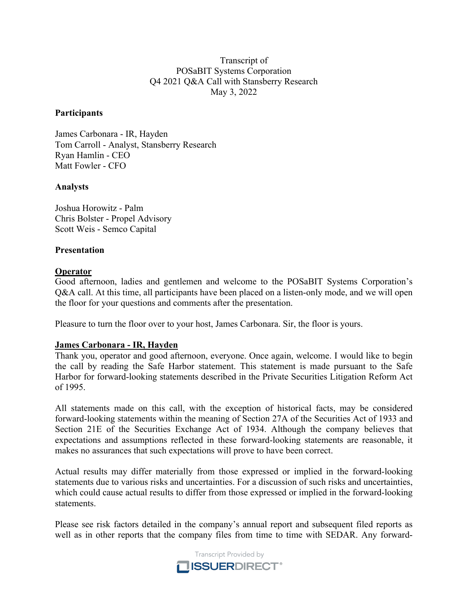Transcript of POSaBIT Systems Corporation Q4 2021 Q&A Call with Stansberry Research May 3, 2022

## **Participants**

James Carbonara - IR, Hayden Tom Carroll - Analyst, Stansberry Research Ryan Hamlin - CEO Matt Fowler - CFO

#### **Analysts**

Joshua Horowitz - Palm Chris Bolster - Propel Advisory Scott Weis - Semco Capital

#### **Presentation**

#### **Operator**

Good afternoon, ladies and gentlemen and welcome to the POSaBIT Systems Corporation's Q&A call. At this time, all participants have been placed on a listen-only mode, and we will open the floor for your questions and comments after the presentation.

Pleasure to turn the floor over to your host, James Carbonara. Sir, the floor is yours.

## **James Carbonara - IR, Hayden**

Thank you, operator and good afternoon, everyone. Once again, welcome. I would like to begin the call by reading the Safe Harbor statement. This statement is made pursuant to the Safe Harbor for forward-looking statements described in the Private Securities Litigation Reform Act of 1995.

All statements made on this call, with the exception of historical facts, may be considered forward-looking statements within the meaning of Section 27A of the Securities Act of 1933 and Section 21E of the Securities Exchange Act of 1934. Although the company believes that expectations and assumptions reflected in these forward-looking statements are reasonable, it makes no assurances that such expectations will prove to have been correct.

Actual results may differ materially from those expressed or implied in the forward-looking statements due to various risks and uncertainties. For a discussion of such risks and uncertainties, which could cause actual results to differ from those expressed or implied in the forward-looking statements.

Please see risk factors detailed in the company's annual report and subsequent filed reports as well as in other reports that the company files from time to time with SEDAR. Any forward-

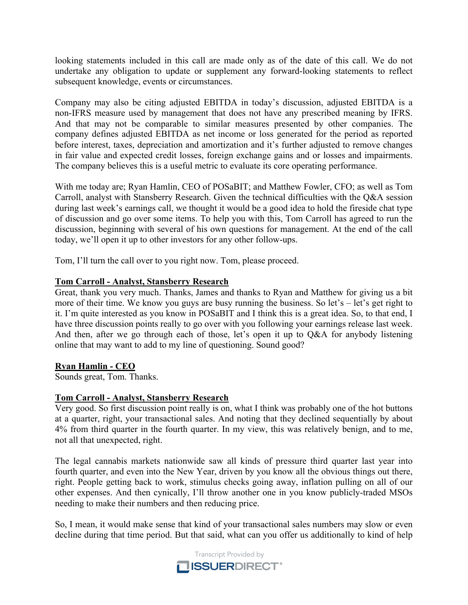looking statements included in this call are made only as of the date of this call. We do not undertake any obligation to update or supplement any forward-looking statements to reflect subsequent knowledge, events or circumstances.

Company may also be citing adjusted EBITDA in today's discussion, adjusted EBITDA is a non-IFRS measure used by management that does not have any prescribed meaning by IFRS. And that may not be comparable to similar measures presented by other companies. The company defines adjusted EBITDA as net income or loss generated for the period as reported before interest, taxes, depreciation and amortization and it's further adjusted to remove changes in fair value and expected credit losses, foreign exchange gains and or losses and impairments. The company believes this is a useful metric to evaluate its core operating performance.

With me today are; Ryan Hamlin, CEO of POSaBIT; and Matthew Fowler, CFO; as well as Tom Carroll, analyst with Stansberry Research. Given the technical difficulties with the Q&A session during last week's earnings call, we thought it would be a good idea to hold the fireside chat type of discussion and go over some items. To help you with this, Tom Carroll has agreed to run the discussion, beginning with several of his own questions for management. At the end of the call today, we'll open it up to other investors for any other follow-ups.

Tom, I'll turn the call over to you right now. Tom, please proceed.

# **Tom Carroll - Analyst, Stansberry Research**

Great, thank you very much. Thanks, James and thanks to Ryan and Matthew for giving us a bit more of their time. We know you guys are busy running the business. So let's – let's get right to it. I'm quite interested as you know in POSaBIT and I think this is a great idea. So, to that end, I have three discussion points really to go over with you following your earnings release last week. And then, after we go through each of those, let's open it up to Q&A for anybody listening online that may want to add to my line of questioning. Sound good?

## **Ryan Hamlin - CEO**

Sounds great, Tom. Thanks.

## **Tom Carroll - Analyst, Stansberry Research**

Very good. So first discussion point really is on, what I think was probably one of the hot buttons at a quarter, right, your transactional sales. And noting that they declined sequentially by about 4% from third quarter in the fourth quarter. In my view, this was relatively benign, and to me, not all that unexpected, right.

The legal cannabis markets nationwide saw all kinds of pressure third quarter last year into fourth quarter, and even into the New Year, driven by you know all the obvious things out there, right. People getting back to work, stimulus checks going away, inflation pulling on all of our other expenses. And then cynically, I'll throw another one in you know publicly-traded MSOs needing to make their numbers and then reducing price.

So, I mean, it would make sense that kind of your transactional sales numbers may slow or even decline during that time period. But that said, what can you offer us additionally to kind of help

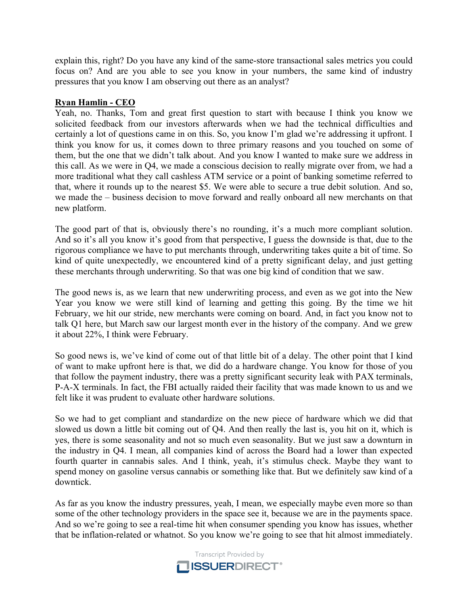explain this, right? Do you have any kind of the same-store transactional sales metrics you could focus on? And are you able to see you know in your numbers, the same kind of industry pressures that you know I am observing out there as an analyst?

## **Ryan Hamlin - CEO**

Yeah, no. Thanks, Tom and great first question to start with because I think you know we solicited feedback from our investors afterwards when we had the technical difficulties and certainly a lot of questions came in on this. So, you know I'm glad we're addressing it upfront. I think you know for us, it comes down to three primary reasons and you touched on some of them, but the one that we didn't talk about. And you know I wanted to make sure we address in this call. As we were in Q4, we made a conscious decision to really migrate over from, we had a more traditional what they call cashless ATM service or a point of banking sometime referred to that, where it rounds up to the nearest \$5. We were able to secure a true debit solution. And so, we made the – business decision to move forward and really onboard all new merchants on that new platform.

The good part of that is, obviously there's no rounding, it's a much more compliant solution. And so it's all you know it's good from that perspective, I guess the downside is that, due to the rigorous compliance we have to put merchants through, underwriting takes quite a bit of time. So kind of quite unexpectedly, we encountered kind of a pretty significant delay, and just getting these merchants through underwriting. So that was one big kind of condition that we saw.

The good news is, as we learn that new underwriting process, and even as we got into the New Year you know we were still kind of learning and getting this going. By the time we hit February, we hit our stride, new merchants were coming on board. And, in fact you know not to talk Q1 here, but March saw our largest month ever in the history of the company. And we grew it about 22%, I think were February.

So good news is, we've kind of come out of that little bit of a delay. The other point that I kind of want to make upfront here is that, we did do a hardware change. You know for those of you that follow the payment industry, there was a pretty significant security leak with PAX terminals, P-A-X terminals. In fact, the FBI actually raided their facility that was made known to us and we felt like it was prudent to evaluate other hardware solutions.

So we had to get compliant and standardize on the new piece of hardware which we did that slowed us down a little bit coming out of Q4. And then really the last is, you hit on it, which is yes, there is some seasonality and not so much even seasonality. But we just saw a downturn in the industry in Q4. I mean, all companies kind of across the Board had a lower than expected fourth quarter in cannabis sales. And I think, yeah, it's stimulus check. Maybe they want to spend money on gasoline versus cannabis or something like that. But we definitely saw kind of a downtick.

As far as you know the industry pressures, yeah, I mean, we especially maybe even more so than some of the other technology providers in the space see it, because we are in the payments space. And so we're going to see a real-time hit when consumer spending you know has issues, whether that be inflation-related or whatnot. So you know we're going to see that hit almost immediately.

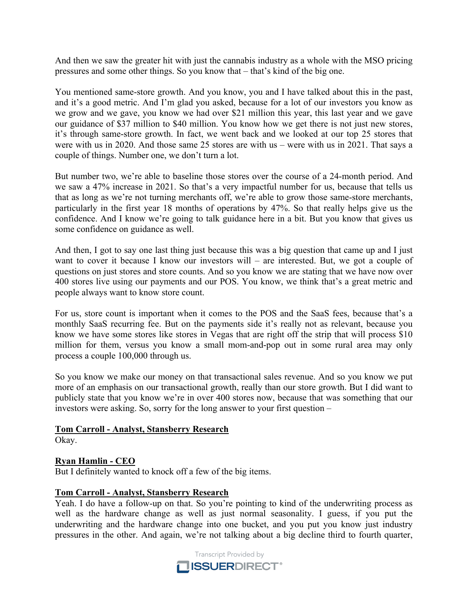And then we saw the greater hit with just the cannabis industry as a whole with the MSO pricing pressures and some other things. So you know that – that's kind of the big one.

You mentioned same-store growth. And you know, you and I have talked about this in the past, and it's a good metric. And I'm glad you asked, because for a lot of our investors you know as we grow and we gave, you know we had over \$21 million this year, this last year and we gave our guidance of \$37 million to \$40 million. You know how we get there is not just new stores, it's through same-store growth. In fact, we went back and we looked at our top 25 stores that were with us in 2020. And those same 25 stores are with us – were with us in 2021. That says a couple of things. Number one, we don't turn a lot.

But number two, we're able to baseline those stores over the course of a 24-month period. And we saw a 47% increase in 2021. So that's a very impactful number for us, because that tells us that as long as we're not turning merchants off, we're able to grow those same-store merchants, particularly in the first year 18 months of operations by 47%. So that really helps give us the confidence. And I know we're going to talk guidance here in a bit. But you know that gives us some confidence on guidance as well.

And then, I got to say one last thing just because this was a big question that came up and I just want to cover it because I know our investors will – are interested. But, we got a couple of questions on just stores and store counts. And so you know we are stating that we have now over 400 stores live using our payments and our POS. You know, we think that's a great metric and people always want to know store count.

For us, store count is important when it comes to the POS and the SaaS fees, because that's a monthly SaaS recurring fee. But on the payments side it's really not as relevant, because you know we have some stores like stores in Vegas that are right off the strip that will process \$10 million for them, versus you know a small mom-and-pop out in some rural area may only process a couple 100,000 through us.

So you know we make our money on that transactional sales revenue. And so you know we put more of an emphasis on our transactional growth, really than our store growth. But I did want to publicly state that you know we're in over 400 stores now, because that was something that our investors were asking. So, sorry for the long answer to your first question –

#### **Tom Carroll - Analyst, Stansberry Research** Okay.

## **Ryan Hamlin - CEO**

But I definitely wanted to knock off a few of the big items.

## **Tom Carroll - Analyst, Stansberry Research**

Yeah. I do have a follow-up on that. So you're pointing to kind of the underwriting process as well as the hardware change as well as just normal seasonality. I guess, if you put the underwriting and the hardware change into one bucket, and you put you know just industry pressures in the other. And again, we're not talking about a big decline third to fourth quarter,

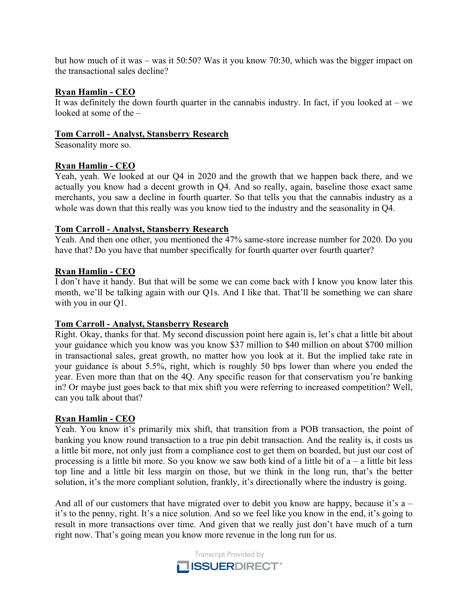but how much of it was – was it 50:50? Was it you know 70:30, which was the bigger impact on the transactional sales decline?

## **Ryan Hamlin - CEO**

It was definitely the down fourth quarter in the cannabis industry. In fact, if you looked at  $-$  we looked at some of the –

## **Tom Carroll - Analyst, Stansberry Research**

Seasonality more so.

## **Ryan Hamlin - CEO**

Yeah, yeah. We looked at our Q4 in 2020 and the growth that we happen back there, and we actually you know had a decent growth in Q4. And so really, again, baseline those exact same merchants, you saw a decline in fourth quarter. So that tells you that the cannabis industry as a whole was down that this really was you know tied to the industry and the seasonality in Q4.

## **Tom Carroll - Analyst, Stansberry Research**

Yeah. And then one other, you mentioned the 47% same-store increase number for 2020. Do you have that? Do you have that number specifically for fourth quarter over fourth quarter?

## **Ryan Hamlin - CEO**

I don't have it handy. But that will be some we can come back with I know you know later this month, we'll be talking again with our Q1s. And I like that. That'll be something we can share with you in our Q1.

## **Tom Carroll - Analyst, Stansberry Research**

Right. Okay, thanks for that. My second discussion point here again is, let's chat a little bit about your guidance which you know was you know \$37 million to \$40 million on about \$700 million in transactional sales, great growth, no matter how you look at it. But the implied take rate in your guidance is about 5.5%, right, which is roughly 50 bps lower than where you ended the year. Even more than that on the 4Q. Any specific reason for that conservatism you're banking in? Or maybe just goes back to that mix shift you were referring to increased competition? Well, can you talk about that?

## **Ryan Hamlin - CEO**

Yeah. You know it's primarily mix shift, that transition from a POB transaction, the point of banking you know round transaction to a true pin debit transaction. And the reality is, it costs us a little bit more, not only just from a compliance cost to get them on boarded, but just our cost of processing is a little bit more. So you know we saw both kind of a little bit of a – a little bit less top line and a little bit less margin on those, but we think in the long run, that's the better solution, it's the more compliant solution, frankly, it's directionally where the industry is going.

And all of our customers that have migrated over to debit you know are happy, because it's a – it's to the penny, right. It's a nice solution. And so we feel like you know in the end, it's going to result in more transactions over time. And given that we really just don't have much of a turn right now. That's going mean you know more revenue in the long run for us.

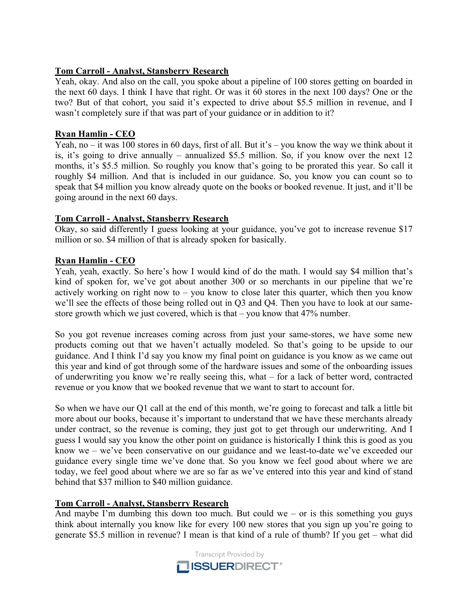## **Tom Carroll - Analyst, Stansberry Research**

Yeah, okay. And also on the call, you spoke about a pipeline of 100 stores getting on boarded in the next 60 days. I think I have that right. Or was it 60 stores in the next 100 days? One or the two? But of that cohort, you said it's expected to drive about \$5.5 million in revenue, and I wasn't completely sure if that was part of your guidance or in addition to it?

## **Ryan Hamlin - CEO**

Yeah, no – it was 100 stores in 60 days, first of all. But it's – you know the way we think about it is, it's going to drive annually – annualized \$5.5 million. So, if you know over the next 12 months, it's \$5.5 million. So roughly you know that's going to be prorated this year. So call it roughly \$4 million. And that is included in our guidance. So, you know you can count so to speak that \$4 million you know already quote on the books or booked revenue. It just, and it'll be going around in the next 60 days.

## **Tom Carroll - Analyst, Stansberry Research**

Okay, so said differently I guess looking at your guidance, you've got to increase revenue \$17 million or so. \$4 million of that is already spoken for basically.

## **Ryan Hamlin - CEO**

Yeah, yeah, exactly. So here's how I would kind of do the math. I would say \$4 million that's kind of spoken for, we've got about another 300 or so merchants in our pipeline that we're actively working on right now to – you know to close later this quarter, which then you know we'll see the effects of those being rolled out in Q3 and Q4. Then you have to look at our samestore growth which we just covered, which is that – you know that 47% number.

So you got revenue increases coming across from just your same-stores, we have some new products coming out that we haven't actually modeled. So that's going to be upside to our guidance. And I think I'd say you know my final point on guidance is you know as we came out this year and kind of got through some of the hardware issues and some of the onboarding issues of underwriting you know we're really seeing this, what – for a lack of better word, contracted revenue or you know that we booked revenue that we want to start to account for.

So when we have our Q1 call at the end of this month, we're going to forecast and talk a little bit more about our books, because it's important to understand that we have these merchants already under contract, so the revenue is coming, they just got to get through our underwriting. And I guess I would say you know the other point on guidance is historically I think this is good as you know we – we've been conservative on our guidance and we least-to-date we've exceeded our guidance every single time we've done that. So you know we feel good about where we are today, we feel good about where we are so far as we've entered into this year and kind of stand behind that \$37 million to \$40 million guidance.

# **Tom Carroll - Analyst, Stansberry Research**

And maybe I'm dumbing this down too much. But could we – or is this something you guys think about internally you know like for every 100 new stores that you sign up you're going to generate \$5.5 million in revenue? I mean is that kind of a rule of thumb? If you get – what did

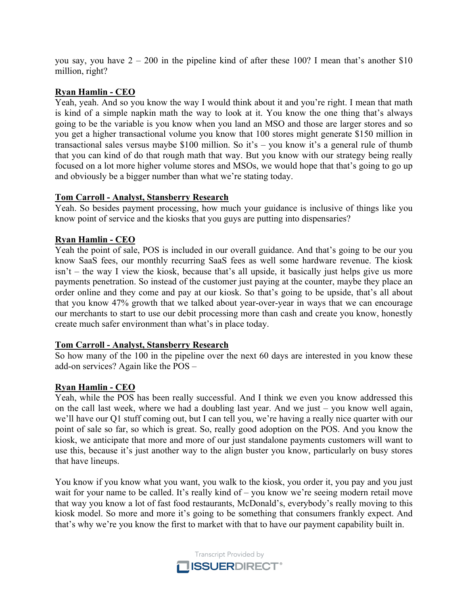you say, you have  $2 - 200$  in the pipeline kind of after these 100? I mean that's another \$10 million, right?

## **Ryan Hamlin - CEO**

Yeah, yeah. And so you know the way I would think about it and you're right. I mean that math is kind of a simple napkin math the way to look at it. You know the one thing that's always going to be the variable is you know when you land an MSO and those are larger stores and so you get a higher transactional volume you know that 100 stores might generate \$150 million in transactional sales versus maybe \$100 million. So it's – you know it's a general rule of thumb that you can kind of do that rough math that way. But you know with our strategy being really focused on a lot more higher volume stores and MSOs, we would hope that that's going to go up and obviously be a bigger number than what we're stating today.

## **Tom Carroll - Analyst, Stansberry Research**

Yeah. So besides payment processing, how much your guidance is inclusive of things like you know point of service and the kiosks that you guys are putting into dispensaries?

## **Ryan Hamlin - CEO**

Yeah the point of sale, POS is included in our overall guidance. And that's going to be our you know SaaS fees, our monthly recurring SaaS fees as well some hardware revenue. The kiosk isn't – the way I view the kiosk, because that's all upside, it basically just helps give us more payments penetration. So instead of the customer just paying at the counter, maybe they place an order online and they come and pay at our kiosk. So that's going to be upside, that's all about that you know 47% growth that we talked about year-over-year in ways that we can encourage our merchants to start to use our debit processing more than cash and create you know, honestly create much safer environment than what's in place today.

## **Tom Carroll - Analyst, Stansberry Research**

So how many of the 100 in the pipeline over the next 60 days are interested in you know these add-on services? Again like the POS –

## **Ryan Hamlin - CEO**

Yeah, while the POS has been really successful. And I think we even you know addressed this on the call last week, where we had a doubling last year. And we just – you know well again, we'll have our Q1 stuff coming out, but I can tell you, we're having a really nice quarter with our point of sale so far, so which is great. So, really good adoption on the POS. And you know the kiosk, we anticipate that more and more of our just standalone payments customers will want to use this, because it's just another way to the align buster you know, particularly on busy stores that have lineups.

You know if you know what you want, you walk to the kiosk, you order it, you pay and you just wait for your name to be called. It's really kind of – you know we're seeing modern retail move that way you know a lot of fast food restaurants, McDonald's, everybody's really moving to this kiosk model. So more and more it's going to be something that consumers frankly expect. And that's why we're you know the first to market with that to have our payment capability built in.

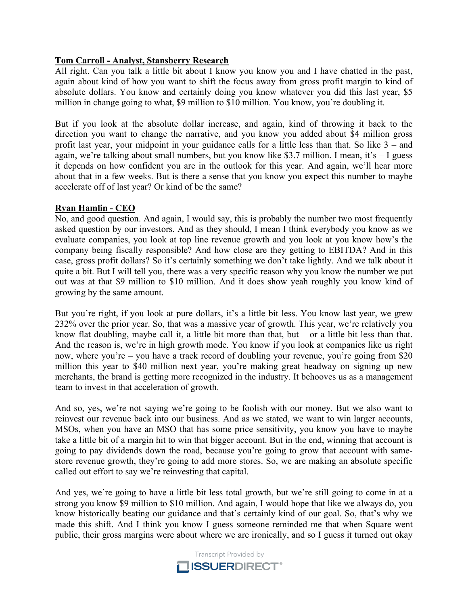# **Tom Carroll - Analyst, Stansberry Research**

All right. Can you talk a little bit about I know you know you and I have chatted in the past, again about kind of how you want to shift the focus away from gross profit margin to kind of absolute dollars. You know and certainly doing you know whatever you did this last year, \$5 million in change going to what, \$9 million to \$10 million. You know, you're doubling it.

But if you look at the absolute dollar increase, and again, kind of throwing it back to the direction you want to change the narrative, and you know you added about \$4 million gross profit last year, your midpoint in your guidance calls for a little less than that. So like 3 – and again, we're talking about small numbers, but you know like \$3.7 million. I mean, it's – I guess it depends on how confident you are in the outlook for this year. And again, we'll hear more about that in a few weeks. But is there a sense that you know you expect this number to maybe accelerate off of last year? Or kind of be the same?

# **Ryan Hamlin - CEO**

No, and good question. And again, I would say, this is probably the number two most frequently asked question by our investors. And as they should, I mean I think everybody you know as we evaluate companies, you look at top line revenue growth and you look at you know how's the company being fiscally responsible? And how close are they getting to EBITDA? And in this case, gross profit dollars? So it's certainly something we don't take lightly. And we talk about it quite a bit. But I will tell you, there was a very specific reason why you know the number we put out was at that \$9 million to \$10 million. And it does show yeah roughly you know kind of growing by the same amount.

But you're right, if you look at pure dollars, it's a little bit less. You know last year, we grew 232% over the prior year. So, that was a massive year of growth. This year, we're relatively you know flat doubling, maybe call it, a little bit more than that, but – or a little bit less than that. And the reason is, we're in high growth mode. You know if you look at companies like us right now, where you're – you have a track record of doubling your revenue, you're going from \$20 million this year to \$40 million next year, you're making great headway on signing up new merchants, the brand is getting more recognized in the industry. It behooves us as a management team to invest in that acceleration of growth.

And so, yes, we're not saying we're going to be foolish with our money. But we also want to reinvest our revenue back into our business. And as we stated, we want to win larger accounts, MSOs, when you have an MSO that has some price sensitivity, you know you have to maybe take a little bit of a margin hit to win that bigger account. But in the end, winning that account is going to pay dividends down the road, because you're going to grow that account with samestore revenue growth, they're going to add more stores. So, we are making an absolute specific called out effort to say we're reinvesting that capital.

And yes, we're going to have a little bit less total growth, but we're still going to come in at a strong you know \$9 million to \$10 million. And again, I would hope that like we always do, you know historically beating our guidance and that's certainly kind of our goal. So, that's why we made this shift. And I think you know I guess someone reminded me that when Square went public, their gross margins were about where we are ironically, and so I guess it turned out okay

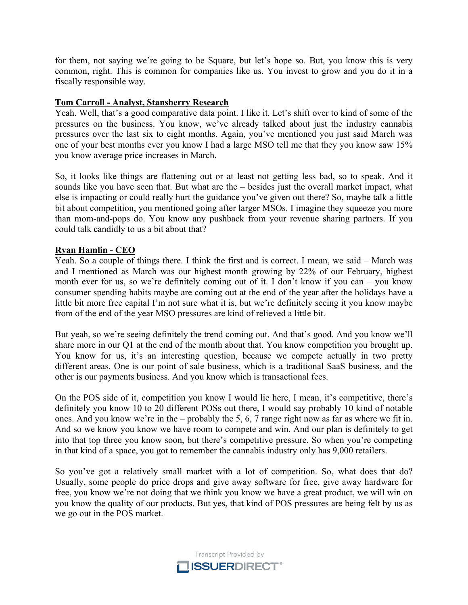for them, not saying we're going to be Square, but let's hope so. But, you know this is very common, right. This is common for companies like us. You invest to grow and you do it in a fiscally responsible way.

## **Tom Carroll - Analyst, Stansberry Research**

Yeah. Well, that's a good comparative data point. I like it. Let's shift over to kind of some of the pressures on the business. You know, we've already talked about just the industry cannabis pressures over the last six to eight months. Again, you've mentioned you just said March was one of your best months ever you know I had a large MSO tell me that they you know saw 15% you know average price increases in March.

So, it looks like things are flattening out or at least not getting less bad, so to speak. And it sounds like you have seen that. But what are the – besides just the overall market impact, what else is impacting or could really hurt the guidance you've given out there? So, maybe talk a little bit about competition, you mentioned going after larger MSOs. I imagine they squeeze you more than mom-and-pops do. You know any pushback from your revenue sharing partners. If you could talk candidly to us a bit about that?

## **Ryan Hamlin - CEO**

Yeah. So a couple of things there. I think the first and is correct. I mean, we said – March was and I mentioned as March was our highest month growing by 22% of our February, highest month ever for us, so we're definitely coming out of it. I don't know if you can – you know consumer spending habits maybe are coming out at the end of the year after the holidays have a little bit more free capital I'm not sure what it is, but we're definitely seeing it you know maybe from of the end of the year MSO pressures are kind of relieved a little bit.

But yeah, so we're seeing definitely the trend coming out. And that's good. And you know we'll share more in our Q1 at the end of the month about that. You know competition you brought up. You know for us, it's an interesting question, because we compete actually in two pretty different areas. One is our point of sale business, which is a traditional SaaS business, and the other is our payments business. And you know which is transactional fees.

On the POS side of it, competition you know I would lie here, I mean, it's competitive, there's definitely you know 10 to 20 different POSs out there, I would say probably 10 kind of notable ones. And you know we're in the – probably the 5, 6, 7 range right now as far as where we fit in. And so we know you know we have room to compete and win. And our plan is definitely to get into that top three you know soon, but there's competitive pressure. So when you're competing in that kind of a space, you got to remember the cannabis industry only has 9,000 retailers.

So you've got a relatively small market with a lot of competition. So, what does that do? Usually, some people do price drops and give away software for free, give away hardware for free, you know we're not doing that we think you know we have a great product, we will win on you know the quality of our products. But yes, that kind of POS pressures are being felt by us as we go out in the POS market.

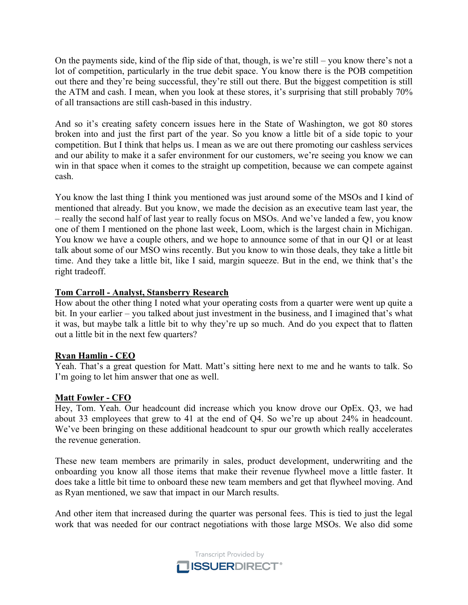On the payments side, kind of the flip side of that, though, is we're still – you know there's not a lot of competition, particularly in the true debit space. You know there is the POB competition out there and they're being successful, they're still out there. But the biggest competition is still the ATM and cash. I mean, when you look at these stores, it's surprising that still probably 70% of all transactions are still cash-based in this industry.

And so it's creating safety concern issues here in the State of Washington, we got 80 stores broken into and just the first part of the year. So you know a little bit of a side topic to your competition. But I think that helps us. I mean as we are out there promoting our cashless services and our ability to make it a safer environment for our customers, we're seeing you know we can win in that space when it comes to the straight up competition, because we can compete against cash.

You know the last thing I think you mentioned was just around some of the MSOs and I kind of mentioned that already. But you know, we made the decision as an executive team last year, the – really the second half of last year to really focus on MSOs. And we've landed a few, you know one of them I mentioned on the phone last week, Loom, which is the largest chain in Michigan. You know we have a couple others, and we hope to announce some of that in our Q1 or at least talk about some of our MSO wins recently. But you know to win those deals, they take a little bit time. And they take a little bit, like I said, margin squeeze. But in the end, we think that's the right tradeoff.

## **Tom Carroll - Analyst, Stansberry Research**

How about the other thing I noted what your operating costs from a quarter were went up quite a bit. In your earlier – you talked about just investment in the business, and I imagined that's what it was, but maybe talk a little bit to why they're up so much. And do you expect that to flatten out a little bit in the next few quarters?

## **Ryan Hamlin - CEO**

Yeah. That's a great question for Matt. Matt's sitting here next to me and he wants to talk. So I'm going to let him answer that one as well.

## **Matt Fowler - CFO**

Hey, Tom. Yeah. Our headcount did increase which you know drove our OpEx. Q3, we had about 33 employees that grew to 41 at the end of Q4. So we're up about 24% in headcount. We've been bringing on these additional headcount to spur our growth which really accelerates the revenue generation.

These new team members are primarily in sales, product development, underwriting and the onboarding you know all those items that make their revenue flywheel move a little faster. It does take a little bit time to onboard these new team members and get that flywheel moving. And as Ryan mentioned, we saw that impact in our March results.

And other item that increased during the quarter was personal fees. This is tied to just the legal work that was needed for our contract negotiations with those large MSOs. We also did some

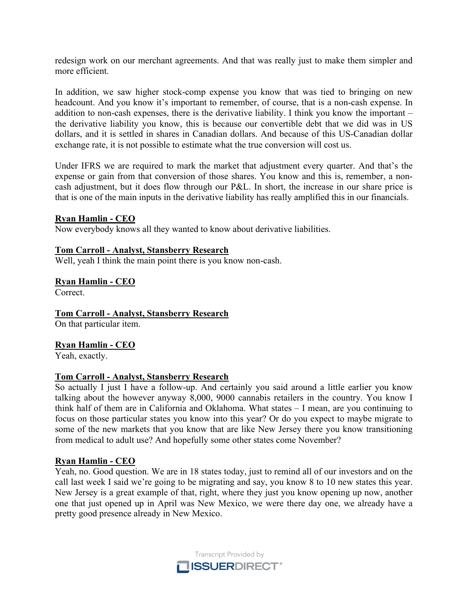redesign work on our merchant agreements. And that was really just to make them simpler and more efficient.

In addition, we saw higher stock-comp expense you know that was tied to bringing on new headcount. And you know it's important to remember, of course, that is a non-cash expense. In addition to non-cash expenses, there is the derivative liability. I think you know the important – the derivative liability you know, this is because our convertible debt that we did was in US dollars, and it is settled in shares in Canadian dollars. And because of this US-Canadian dollar exchange rate, it is not possible to estimate what the true conversion will cost us.

Under IFRS we are required to mark the market that adjustment every quarter. And that's the expense or gain from that conversion of those shares. You know and this is, remember, a noncash adjustment, but it does flow through our P&L. In short, the increase in our share price is that is one of the main inputs in the derivative liability has really amplified this in our financials.

## **Ryan Hamlin - CEO**

Now everybody knows all they wanted to know about derivative liabilities.

#### **Tom Carroll - Analyst, Stansberry Research**

Well, yeah I think the main point there is you know non-cash.

#### **Ryan Hamlin - CEO**

Correct.

## **Tom Carroll - Analyst, Stansberry Research**

On that particular item.

## **Ryan Hamlin - CEO**

Yeah, exactly.

## **Tom Carroll - Analyst, Stansberry Research**

So actually I just I have a follow-up. And certainly you said around a little earlier you know talking about the however anyway 8,000, 9000 cannabis retailers in the country. You know I think half of them are in California and Oklahoma. What states – I mean, are you continuing to focus on those particular states you know into this year? Or do you expect to maybe migrate to some of the new markets that you know that are like New Jersey there you know transitioning from medical to adult use? And hopefully some other states come November?

## **Ryan Hamlin - CEO**

Yeah, no. Good question. We are in 18 states today, just to remind all of our investors and on the call last week I said we're going to be migrating and say, you know 8 to 10 new states this year. New Jersey is a great example of that, right, where they just you know opening up now, another one that just opened up in April was New Mexico, we were there day one, we already have a pretty good presence already in New Mexico.

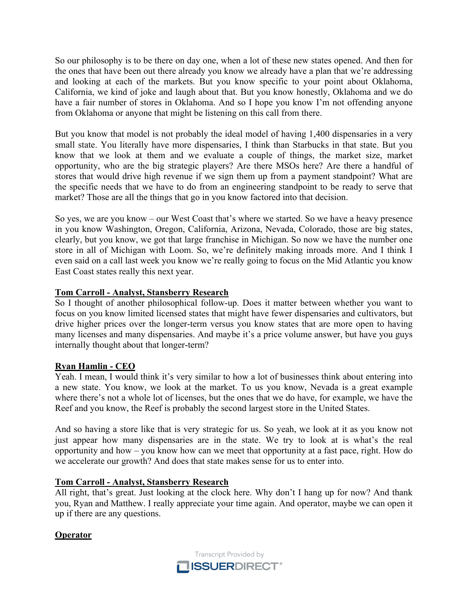So our philosophy is to be there on day one, when a lot of these new states opened. And then for the ones that have been out there already you know we already have a plan that we're addressing and looking at each of the markets. But you know specific to your point about Oklahoma, California, we kind of joke and laugh about that. But you know honestly, Oklahoma and we do have a fair number of stores in Oklahoma. And so I hope you know I'm not offending anyone from Oklahoma or anyone that might be listening on this call from there.

But you know that model is not probably the ideal model of having 1,400 dispensaries in a very small state. You literally have more dispensaries, I think than Starbucks in that state. But you know that we look at them and we evaluate a couple of things, the market size, market opportunity, who are the big strategic players? Are there MSOs here? Are there a handful of stores that would drive high revenue if we sign them up from a payment standpoint? What are the specific needs that we have to do from an engineering standpoint to be ready to serve that market? Those are all the things that go in you know factored into that decision.

So yes, we are you know – our West Coast that's where we started. So we have a heavy presence in you know Washington, Oregon, California, Arizona, Nevada, Colorado, those are big states, clearly, but you know, we got that large franchise in Michigan. So now we have the number one store in all of Michigan with Loom. So, we're definitely making inroads more. And I think I even said on a call last week you know we're really going to focus on the Mid Atlantic you know East Coast states really this next year.

# **Tom Carroll - Analyst, Stansberry Research**

So I thought of another philosophical follow-up. Does it matter between whether you want to focus on you know limited licensed states that might have fewer dispensaries and cultivators, but drive higher prices over the longer-term versus you know states that are more open to having many licenses and many dispensaries. And maybe it's a price volume answer, but have you guys internally thought about that longer-term?

# **Ryan Hamlin - CEO**

Yeah. I mean, I would think it's very similar to how a lot of businesses think about entering into a new state. You know, we look at the market. To us you know, Nevada is a great example where there's not a whole lot of licenses, but the ones that we do have, for example, we have the Reef and you know, the Reef is probably the second largest store in the United States.

And so having a store like that is very strategic for us. So yeah, we look at it as you know not just appear how many dispensaries are in the state. We try to look at is what's the real opportunity and how – you know how can we meet that opportunity at a fast pace, right. How do we accelerate our growth? And does that state makes sense for us to enter into.

# **Tom Carroll - Analyst, Stansberry Research**

All right, that's great. Just looking at the clock here. Why don't I hang up for now? And thank you, Ryan and Matthew. I really appreciate your time again. And operator, maybe we can open it up if there are any questions.

# **Operator**

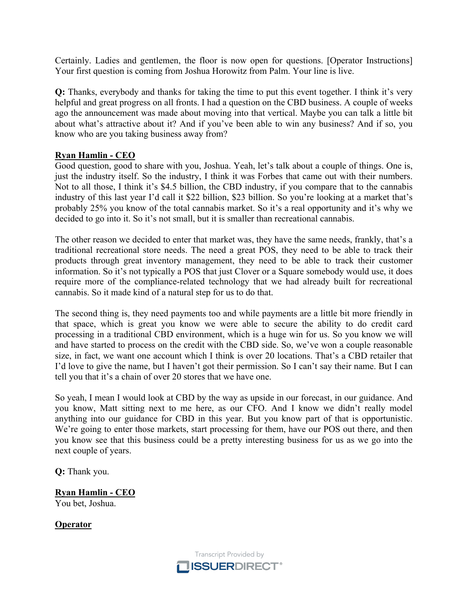Certainly. Ladies and gentlemen, the floor is now open for questions. [Operator Instructions] Your first question is coming from Joshua Horowitz from Palm. Your line is live.

**Q:** Thanks, everybody and thanks for taking the time to put this event together. I think it's very helpful and great progress on all fronts. I had a question on the CBD business. A couple of weeks ago the announcement was made about moving into that vertical. Maybe you can talk a little bit about what's attractive about it? And if you've been able to win any business? And if so, you know who are you taking business away from?

## **Ryan Hamlin - CEO**

Good question, good to share with you, Joshua. Yeah, let's talk about a couple of things. One is, just the industry itself. So the industry, I think it was Forbes that came out with their numbers. Not to all those, I think it's \$4.5 billion, the CBD industry, if you compare that to the cannabis industry of this last year I'd call it \$22 billion, \$23 billion. So you're looking at a market that's probably 25% you know of the total cannabis market. So it's a real opportunity and it's why we decided to go into it. So it's not small, but it is smaller than recreational cannabis.

The other reason we decided to enter that market was, they have the same needs, frankly, that's a traditional recreational store needs. The need a great POS, they need to be able to track their products through great inventory management, they need to be able to track their customer information. So it's not typically a POS that just Clover or a Square somebody would use, it does require more of the compliance-related technology that we had already built for recreational cannabis. So it made kind of a natural step for us to do that.

The second thing is, they need payments too and while payments are a little bit more friendly in that space, which is great you know we were able to secure the ability to do credit card processing in a traditional CBD environment, which is a huge win for us. So you know we will and have started to process on the credit with the CBD side. So, we've won a couple reasonable size, in fact, we want one account which I think is over 20 locations. That's a CBD retailer that I'd love to give the name, but I haven't got their permission. So I can't say their name. But I can tell you that it's a chain of over 20 stores that we have one.

So yeah, I mean I would look at CBD by the way as upside in our forecast, in our guidance. And you know, Matt sitting next to me here, as our CFO. And I know we didn't really model anything into our guidance for CBD in this year. But you know part of that is opportunistic. We're going to enter those markets, start processing for them, have our POS out there, and then you know see that this business could be a pretty interesting business for us as we go into the next couple of years.

**Q:** Thank you.

**Ryan Hamlin - CEO** You bet, Joshua.

**Operator**

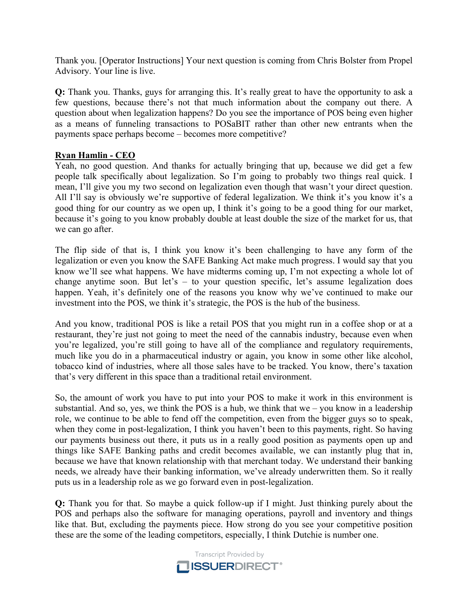Thank you. [Operator Instructions] Your next question is coming from Chris Bolster from Propel Advisory. Your line is live.

**Q:** Thank you. Thanks, guys for arranging this. It's really great to have the opportunity to ask a few questions, because there's not that much information about the company out there. A question about when legalization happens? Do you see the importance of POS being even higher as a means of funneling transactions to POSaBIT rather than other new entrants when the payments space perhaps become – becomes more competitive?

## **Ryan Hamlin - CEO**

Yeah, no good question. And thanks for actually bringing that up, because we did get a few people talk specifically about legalization. So I'm going to probably two things real quick. I mean, I'll give you my two second on legalization even though that wasn't your direct question. All I'll say is obviously we're supportive of federal legalization. We think it's you know it's a good thing for our country as we open up, I think it's going to be a good thing for our market, because it's going to you know probably double at least double the size of the market for us, that we can go after.

The flip side of that is, I think you know it's been challenging to have any form of the legalization or even you know the SAFE Banking Act make much progress. I would say that you know we'll see what happens. We have midterms coming up, I'm not expecting a whole lot of change anytime soon. But let's – to your question specific, let's assume legalization does happen. Yeah, it's definitely one of the reasons you know why we've continued to make our investment into the POS, we think it's strategic, the POS is the hub of the business.

And you know, traditional POS is like a retail POS that you might run in a coffee shop or at a restaurant, they're just not going to meet the need of the cannabis industry, because even when you're legalized, you're still going to have all of the compliance and regulatory requirements, much like you do in a pharmaceutical industry or again, you know in some other like alcohol, tobacco kind of industries, where all those sales have to be tracked. You know, there's taxation that's very different in this space than a traditional retail environment.

So, the amount of work you have to put into your POS to make it work in this environment is substantial. And so, yes, we think the POS is a hub, we think that we – you know in a leadership role, we continue to be able to fend off the competition, even from the bigger guys so to speak, when they come in post-legalization, I think you haven't been to this payments, right. So having our payments business out there, it puts us in a really good position as payments open up and things like SAFE Banking paths and credit becomes available, we can instantly plug that in, because we have that known relationship with that merchant today. We understand their banking needs, we already have their banking information, we've already underwritten them. So it really puts us in a leadership role as we go forward even in post-legalization.

**Q:** Thank you for that. So maybe a quick follow-up if I might. Just thinking purely about the POS and perhaps also the software for managing operations, payroll and inventory and things like that. But, excluding the payments piece. How strong do you see your competitive position these are the some of the leading competitors, especially, I think Dutchie is number one.

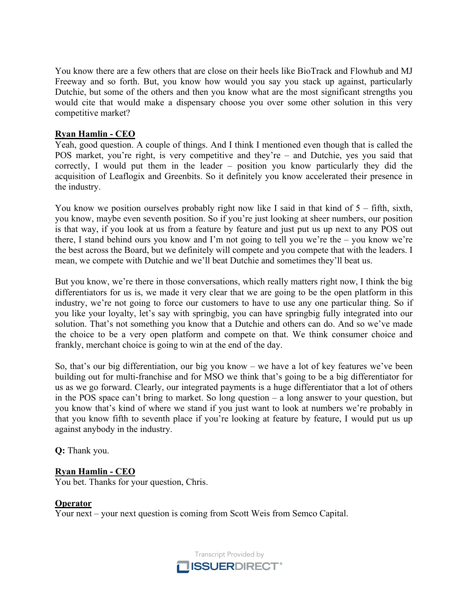You know there are a few others that are close on their heels like BioTrack and Flowhub and MJ Freeway and so forth. But, you know how would you say you stack up against, particularly Dutchie, but some of the others and then you know what are the most significant strengths you would cite that would make a dispensary choose you over some other solution in this very competitive market?

## **Ryan Hamlin - CEO**

Yeah, good question. A couple of things. And I think I mentioned even though that is called the POS market, you're right, is very competitive and they're – and Dutchie, yes you said that correctly, I would put them in the leader – position you know particularly they did the acquisition of Leaflogix and Greenbits. So it definitely you know accelerated their presence in the industry.

You know we position ourselves probably right now like I said in that kind of  $5 - \text{fifth}$ , sixth, you know, maybe even seventh position. So if you're just looking at sheer numbers, our position is that way, if you look at us from a feature by feature and just put us up next to any POS out there, I stand behind ours you know and I'm not going to tell you we're the – you know we're the best across the Board, but we definitely will compete and you compete that with the leaders. I mean, we compete with Dutchie and we'll beat Dutchie and sometimes they'll beat us.

But you know, we're there in those conversations, which really matters right now, I think the big differentiators for us is, we made it very clear that we are going to be the open platform in this industry, we're not going to force our customers to have to use any one particular thing. So if you like your loyalty, let's say with springbig, you can have springbig fully integrated into our solution. That's not something you know that a Dutchie and others can do. And so we've made the choice to be a very open platform and compete on that. We think consumer choice and frankly, merchant choice is going to win at the end of the day.

So, that's our big differentiation, our big you know – we have a lot of key features we've been building out for multi-franchise and for MSO we think that's going to be a big differentiator for us as we go forward. Clearly, our integrated payments is a huge differentiator that a lot of others in the POS space can't bring to market. So long question – a long answer to your question, but you know that's kind of where we stand if you just want to look at numbers we're probably in that you know fifth to seventh place if you're looking at feature by feature, I would put us up against anybody in the industry.

**Q:** Thank you.

# **Ryan Hamlin - CEO**

You bet. Thanks for your question, Chris.

## **Operator**

Your next – your next question is coming from Scott Weis from Semco Capital.

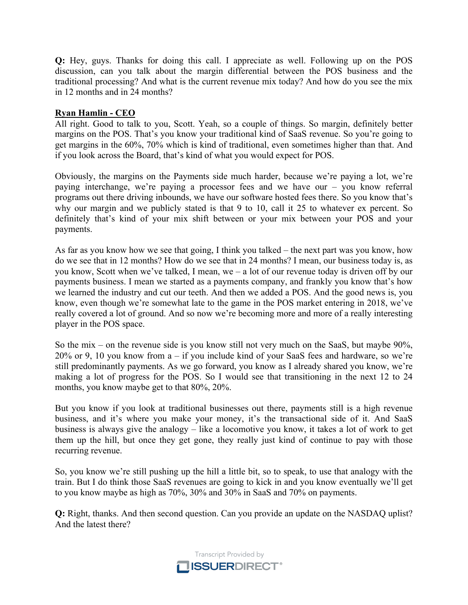**Q:** Hey, guys. Thanks for doing this call. I appreciate as well. Following up on the POS discussion, can you talk about the margin differential between the POS business and the traditional processing? And what is the current revenue mix today? And how do you see the mix in 12 months and in 24 months?

# **Ryan Hamlin - CEO**

All right. Good to talk to you, Scott. Yeah, so a couple of things. So margin, definitely better margins on the POS. That's you know your traditional kind of SaaS revenue. So you're going to get margins in the 60%, 70% which is kind of traditional, even sometimes higher than that. And if you look across the Board, that's kind of what you would expect for POS.

Obviously, the margins on the Payments side much harder, because we're paying a lot, we're paying interchange, we're paying a processor fees and we have our – you know referral programs out there driving inbounds, we have our software hosted fees there. So you know that's why our margin and we publicly stated is that 9 to 10, call it 25 to whatever ex percent. So definitely that's kind of your mix shift between or your mix between your POS and your payments.

As far as you know how we see that going, I think you talked – the next part was you know, how do we see that in 12 months? How do we see that in 24 months? I mean, our business today is, as you know, Scott when we've talked, I mean, we – a lot of our revenue today is driven off by our payments business. I mean we started as a payments company, and frankly you know that's how we learned the industry and cut our teeth. And then we added a POS. And the good news is, you know, even though we're somewhat late to the game in the POS market entering in 2018, we've really covered a lot of ground. And so now we're becoming more and more of a really interesting player in the POS space.

So the mix – on the revenue side is you know still not very much on the SaaS, but maybe 90%, 20% or 9, 10 you know from a – if you include kind of your SaaS fees and hardware, so we're still predominantly payments. As we go forward, you know as I already shared you know, we're making a lot of progress for the POS. So I would see that transitioning in the next 12 to 24 months, you know maybe get to that 80%, 20%.

But you know if you look at traditional businesses out there, payments still is a high revenue business, and it's where you make your money, it's the transactional side of it. And SaaS business is always give the analogy – like a locomotive you know, it takes a lot of work to get them up the hill, but once they get gone, they really just kind of continue to pay with those recurring revenue.

So, you know we're still pushing up the hill a little bit, so to speak, to use that analogy with the train. But I do think those SaaS revenues are going to kick in and you know eventually we'll get to you know maybe as high as 70%, 30% and 30% in SaaS and 70% on payments.

**Q:** Right, thanks. And then second question. Can you provide an update on the NASDAQ uplist? And the latest there?

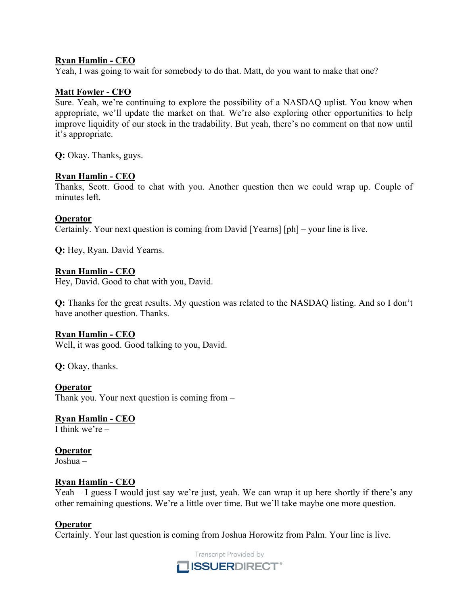## **Ryan Hamlin - CEO**

Yeah, I was going to wait for somebody to do that. Matt, do you want to make that one?

#### **Matt Fowler - CFO**

Sure. Yeah, we're continuing to explore the possibility of a NASDAQ uplist. You know when appropriate, we'll update the market on that. We're also exploring other opportunities to help improve liquidity of our stock in the tradability. But yeah, there's no comment on that now until it's appropriate.

**Q:** Okay. Thanks, guys.

#### **Ryan Hamlin - CEO**

Thanks, Scott. Good to chat with you. Another question then we could wrap up. Couple of minutes left.

#### **Operator**

Certainly. Your next question is coming from David [Yearns] [ph] – your line is live.

**Q:** Hey, Ryan. David Yearns.

#### **Ryan Hamlin - CEO**

Hey, David. Good to chat with you, David.

**Q:** Thanks for the great results. My question was related to the NASDAQ listing. And so I don't have another question. Thanks.

#### **Ryan Hamlin - CEO**

Well, it was good. Good talking to you, David.

**Q:** Okay, thanks.

## **Operator**

Thank you. Your next question is coming from –

# **Ryan Hamlin - CEO**

I think we're –

# **Operator**

Joshua –

#### **Ryan Hamlin - CEO**

Yeah – I guess I would just say we're just, yeah. We can wrap it up here shortly if there's any other remaining questions. We're a little over time. But we'll take maybe one more question.

#### **Operator**

Certainly. Your last question is coming from Joshua Horowitz from Palm. Your line is live.

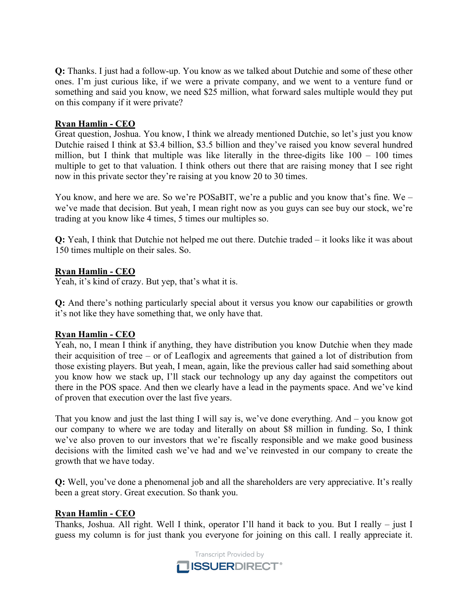**Q:** Thanks. I just had a follow-up. You know as we talked about Dutchie and some of these other ones. I'm just curious like, if we were a private company, and we went to a venture fund or something and said you know, we need \$25 million, what forward sales multiple would they put on this company if it were private?

## **Ryan Hamlin - CEO**

Great question, Joshua. You know, I think we already mentioned Dutchie, so let's just you know Dutchie raised I think at \$3.4 billion, \$3.5 billion and they've raised you know several hundred million, but I think that multiple was like literally in the three-digits like  $100 - 100$  times multiple to get to that valuation. I think others out there that are raising money that I see right now in this private sector they're raising at you know 20 to 30 times.

You know, and here we are. So we're POSaBIT, we're a public and you know that's fine. We – we've made that decision. But yeah, I mean right now as you guys can see buy our stock, we're trading at you know like 4 times, 5 times our multiples so.

**Q:** Yeah, I think that Dutchie not helped me out there. Dutchie traded – it looks like it was about 150 times multiple on their sales. So.

## **Ryan Hamlin - CEO**

Yeah, it's kind of crazy. But yep, that's what it is.

**Q:** And there's nothing particularly special about it versus you know our capabilities or growth it's not like they have something that, we only have that.

# **Ryan Hamlin - CEO**

Yeah, no, I mean I think if anything, they have distribution you know Dutchie when they made their acquisition of tree – or of Leaflogix and agreements that gained a lot of distribution from those existing players. But yeah, I mean, again, like the previous caller had said something about you know how we stack up, I'll stack our technology up any day against the competitors out there in the POS space. And then we clearly have a lead in the payments space. And we've kind of proven that execution over the last five years.

That you know and just the last thing I will say is, we've done everything. And – you know got our company to where we are today and literally on about \$8 million in funding. So, I think we've also proven to our investors that we're fiscally responsible and we make good business decisions with the limited cash we've had and we've reinvested in our company to create the growth that we have today.

**Q:** Well, you've done a phenomenal job and all the shareholders are very appreciative. It's really been a great story. Great execution. So thank you.

## **Ryan Hamlin - CEO**

Thanks, Joshua. All right. Well I think, operator I'll hand it back to you. But I really – just I guess my column is for just thank you everyone for joining on this call. I really appreciate it.